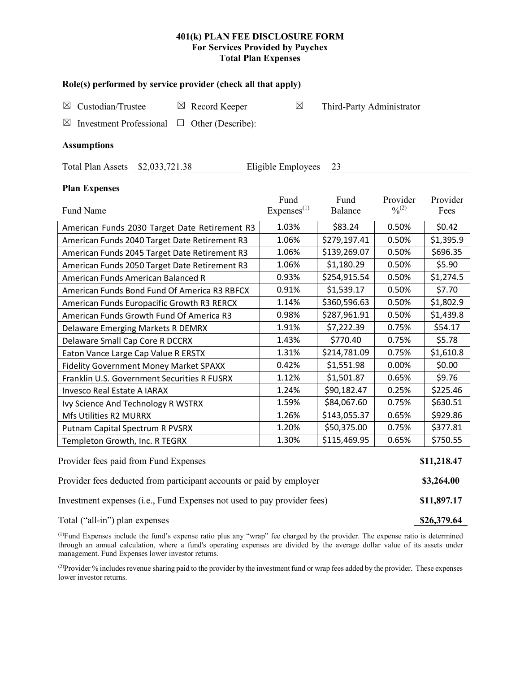### **401(k) PLAN FEE DISCLOSURE FORM For Services Provided by Paychex Total Plan Expenses**

| Role(s) performed by service provider (check all that apply)            |                        |                           |           |           |  |  |  |  |
|-------------------------------------------------------------------------|------------------------|---------------------------|-----------|-----------|--|--|--|--|
| Custodian/Trustee<br>$\boxtimes$ Record Keeper<br>$\boxtimes$           | $\boxtimes$            | Third-Party Administrator |           |           |  |  |  |  |
| <b>Investment Professional</b><br>Other (Describe):<br>⊠<br>$\Box$      |                        |                           |           |           |  |  |  |  |
|                                                                         |                        |                           |           |           |  |  |  |  |
| <b>Assumptions</b>                                                      |                        |                           |           |           |  |  |  |  |
| Total Plan Assets \$2,033,721.38<br>Eligible Employees 23               |                        |                           |           |           |  |  |  |  |
|                                                                         |                        |                           |           |           |  |  |  |  |
| <b>Plan Expenses</b>                                                    | Fund                   | Fund                      | Provider  | Provider  |  |  |  |  |
| Fund Name                                                               | Express <sup>(1)</sup> | Balance                   | $^{0/2)}$ | Fees      |  |  |  |  |
| American Funds 2030 Target Date Retirement R3                           | 1.03%                  | \$83.24                   | 0.50%     | \$0.42    |  |  |  |  |
| American Funds 2040 Target Date Retirement R3                           | 1.06%                  | \$279,197.41              | 0.50%     | \$1,395.9 |  |  |  |  |
| American Funds 2045 Target Date Retirement R3                           | 1.06%                  | \$139,269.07              | 0.50%     | \$696.35  |  |  |  |  |
| American Funds 2050 Target Date Retirement R3                           | 1.06%                  | \$1,180.29                | 0.50%     | \$5.90    |  |  |  |  |
| American Funds American Balanced R                                      | 0.93%                  | \$254,915.54              | 0.50%     | \$1,274.5 |  |  |  |  |
| American Funds Bond Fund Of America R3 RBFCX                            | 0.91%                  | \$1,539.17                | 0.50%     | \$7.70    |  |  |  |  |
| American Funds Europacific Growth R3 RERCX                              | 1.14%                  | \$360,596.63              | 0.50%     | \$1,802.9 |  |  |  |  |
| American Funds Growth Fund Of America R3                                | 0.98%                  | \$287,961.91              | 0.50%     | \$1,439.8 |  |  |  |  |
| Delaware Emerging Markets R DEMRX                                       | 1.91%                  | \$7,222.39                | 0.75%     | \$54.17   |  |  |  |  |
| Delaware Small Cap Core R DCCRX                                         | 1.43%                  | \$770.40                  | 0.75%     | \$5.78    |  |  |  |  |
| Eaton Vance Large Cap Value R ERSTX                                     | 1.31%                  | \$214,781.09              | 0.75%     | \$1,610.8 |  |  |  |  |
| Fidelity Government Money Market SPAXX                                  | 0.42%                  | \$1,551.98                | 0.00%     | \$0.00    |  |  |  |  |
| Franklin U.S. Government Securities R FUSRX                             | 1.12%                  | \$1,501.87                | 0.65%     | \$9.76    |  |  |  |  |
| Invesco Real Estate A IARAX                                             | 1.24%                  | \$90,182.47               | 0.25%     | \$225.46  |  |  |  |  |
| Ivy Science And Technology R WSTRX                                      | 1.59%                  | \$84,067.60               | 0.75%     | \$630.51  |  |  |  |  |
| Mfs Utilities R2 MURRX                                                  | 1.26%                  | \$143,055.37              | 0.65%     | \$929.86  |  |  |  |  |
| Putnam Capital Spectrum R PVSRX                                         | 1.20%                  | \$50,375.00               | 0.75%     | \$377.81  |  |  |  |  |
| Templeton Growth, Inc. R TEGRX                                          | 1.30%                  | \$115,469.95              | 0.65%     | \$750.55  |  |  |  |  |
| Provider fees paid from Fund Expenses                                   |                        |                           |           |           |  |  |  |  |
| Provider fees deducted from participant accounts or paid by employer    |                        |                           |           |           |  |  |  |  |
| Investment expenses (i.e., Fund Expenses not used to pay provider fees) |                        |                           |           |           |  |  |  |  |
| Total ("all-in") plan expenses                                          |                        |                           |           |           |  |  |  |  |

(1) Fund Expenses include the fund's expense ratio plus any "wrap" fee charged by the provider. The expense ratio is determined through an annual calculation, where a fund's operating expenses are divided by the average dollar value of its assets under management. Fund Expenses lower investor returns.

<sup>(2)</sup>Provider % includes revenue sharing paid to the provider by the investment fund or wrap fees added by the provider. These expenses lower investor returns.